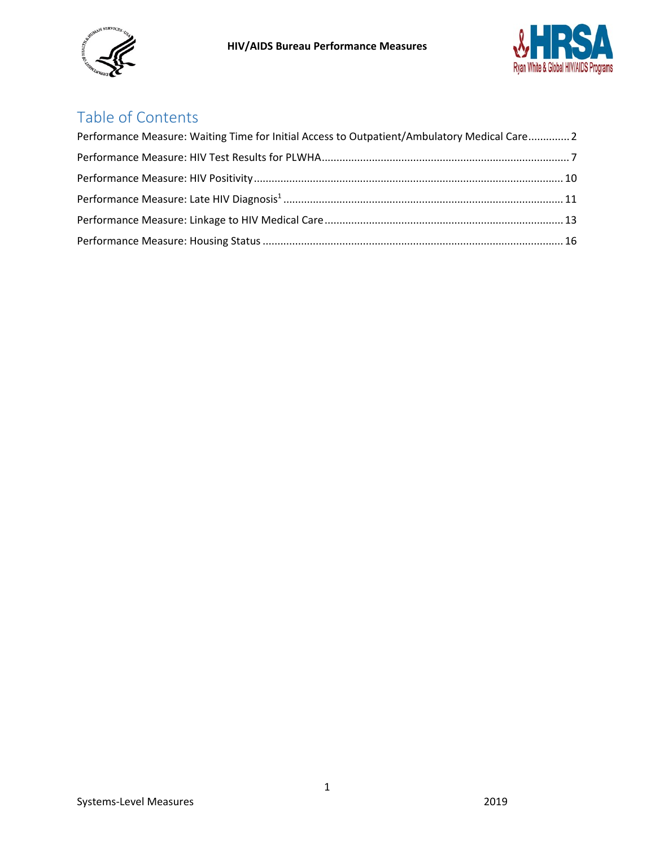



# Table of Contents

| Performance Measure: Waiting Time for Initial Access to Outpatient/Ambulatory Medical Care 2 |  |
|----------------------------------------------------------------------------------------------|--|
|                                                                                              |  |
|                                                                                              |  |
|                                                                                              |  |
|                                                                                              |  |
|                                                                                              |  |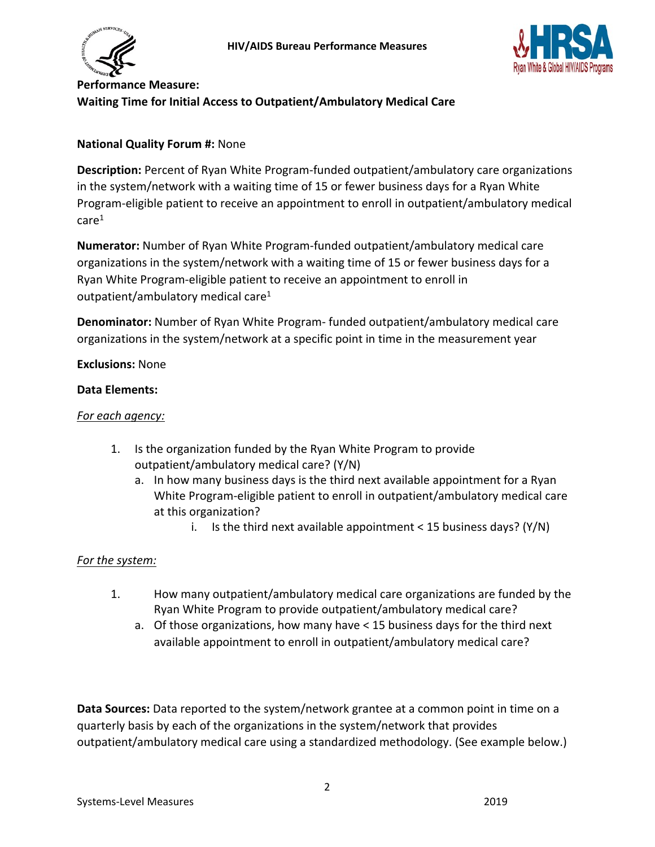



# <span id="page-1-0"></span>**Performance Measure: Waiting Time for Initial Access to Outpatient/Ambulatory Medical Care**

### **National Quality Forum #:** None

**Description:** Percent of Ryan White Program-funded outpatient/ambulatory care organizations in the system/network with a waiting time of 15 or fewer business days for a Ryan White Program-eligible patient to receive an appointment to enroll in outpatient/ambulatory medical care1

**Numerator:** Number of Ryan White Program-funded outpatient/ambulatory medical care organizations in the system/network with a waiting time of 15 or fewer business days for a Ryan White Program-eligible patient to receive an appointment to enroll in outpatient/ambulatory medical care $1$ 

**Denominator:** Number of Ryan White Program- funded outpatient/ambulatory medical care organizations in the system/network at a specific point in time in the measurement year

### **Exclusions:** None

### **Data Elements:**

### *For each agency:*

- 1. Is the organization funded by the Ryan White Program to provide outpatient/ambulatory medical care? (Y/N)
	- a. In how many business days is the third next available appointment for a Ryan White Program-eligible patient to enroll in outpatient/ambulatory medical care at this organization?
		- i. Is the third next available appointment  $<$  15 business days? (Y/N)

### *For the system:*

- 1. How many outpatient/ambulatory medical care organizations are funded by the Ryan White Program to provide outpatient/ambulatory medical care?
	- a. Of those organizations, how many have < 15 business days for the third next available appointment to enroll in outpatient/ambulatory medical care?

**Data Sources:** Data reported to the system/network grantee at a common point in time on a quarterly basis by each of the organizations in the system/network that provides outpatient/ambulatory medical care using a standardized methodology. (See example below.)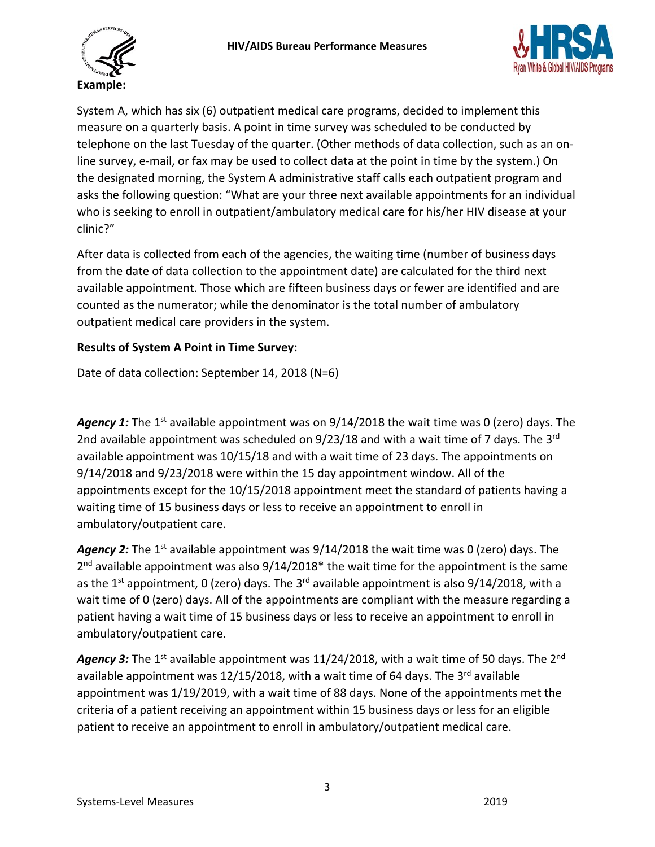



System A, which has six (6) outpatient medical care programs, decided to implement this measure on a quarterly basis. A point in time survey was scheduled to be conducted by telephone on the last Tuesday of the quarter. (Other methods of data collection, such as an online survey, e-mail, or fax may be used to collect data at the point in time by the system.) On the designated morning, the System A administrative staff calls each outpatient program and asks the following question: "What are your three next available appointments for an individual who is seeking to enroll in outpatient/ambulatory medical care for his/her HIV disease at your clinic?"

After data is collected from each of the agencies, the waiting time (number of business days from the date of data collection to the appointment date) are calculated for the third next available appointment. Those which are fifteen business days or fewer are identified and are counted as the numerator; while the denominator is the total number of ambulatory outpatient medical care providers in the system.

# **Results of System A Point in Time Survey:**

Date of data collection: September 14, 2018 (N=6)

Agency 1: The 1<sup>st</sup> available appointment was on 9/14/2018 the wait time was 0 (zero) days. The 2nd available appointment was scheduled on 9/23/18 and with a wait time of 7 days. The 3<sup>rd</sup> available appointment was 10/15/18 and with a wait time of 23 days. The appointments on 9/14/2018 and 9/23/2018 were within the 15 day appointment window. All of the appointments except for the 10/15/2018 appointment meet the standard of patients having a waiting time of 15 business days or less to receive an appointment to enroll in ambulatory/outpatient care.

**Agency 2:** The 1<sup>st</sup> available appointment was 9/14/2018 the wait time was 0 (zero) days. The  $2<sup>nd</sup>$  available appointment was also  $9/14/2018*$  the wait time for the appointment is the same as the 1<sup>st</sup> appointment, 0 (zero) days. The 3<sup>rd</sup> available appointment is also  $9/14/2018$ , with a wait time of 0 (zero) days. All of the appointments are compliant with the measure regarding a patient having a wait time of 15 business days or less to receive an appointment to enroll in ambulatory/outpatient care.

Agency 3: The 1<sup>st</sup> available appointment was 11/24/2018, with a wait time of 50 days. The 2<sup>nd</sup> available appointment was  $12/15/2018$ , with a wait time of 64 days. The 3<sup>rd</sup> available appointment was 1/19/2019, with a wait time of 88 days. None of the appointments met the criteria of a patient receiving an appointment within 15 business days or less for an eligible patient to receive an appointment to enroll in ambulatory/outpatient medical care.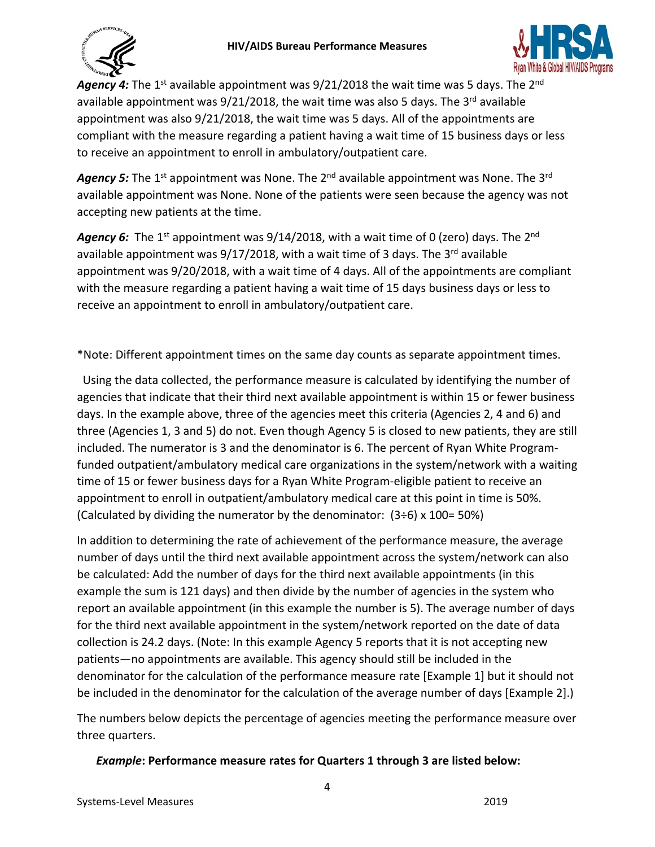



Agency 4: The 1<sup>st</sup> available appointment was 9/21/2018 the wait time was 5 days. The 2<sup>nd</sup> available appointment was  $9/21/2018$ , the wait time was also 5 days. The 3<sup>rd</sup> available appointment was also 9/21/2018, the wait time was 5 days. All of the appointments are compliant with the measure regarding a patient having a wait time of 15 business days or less to receive an appointment to enroll in ambulatory/outpatient care.

Agency 5: The 1<sup>st</sup> appointment was None. The 2<sup>nd</sup> available appointment was None. The 3<sup>rd</sup> available appointment was None. None of the patients were seen because the agency was not accepting new patients at the time.

Agency 6: The 1<sup>st</sup> appointment was 9/14/2018, with a wait time of 0 (zero) days. The 2<sup>nd</sup> available appointment was  $9/17/2018$ , with a wait time of 3 days. The 3<sup>rd</sup> available appointment was 9/20/2018, with a wait time of 4 days. All of the appointments are compliant with the measure regarding a patient having a wait time of 15 days business days or less to receive an appointment to enroll in ambulatory/outpatient care.

\*Note: Different appointment times on the same day counts as separate appointment times.

 Using the data collected, the performance measure is calculated by identifying the number of agencies that indicate that their third next available appointment is within 15 or fewer business days. In the example above, three of the agencies meet this criteria (Agencies 2, 4 and 6) and three (Agencies 1, 3 and 5) do not. Even though Agency 5 is closed to new patients, they are still included. The numerator is 3 and the denominator is 6. The percent of Ryan White Programfunded outpatient/ambulatory medical care organizations in the system/network with a waiting time of 15 or fewer business days for a Ryan White Program-eligible patient to receive an appointment to enroll in outpatient/ambulatory medical care at this point in time is 50%. (Calculated by dividing the numerator by the denominator:  $(3\div 6) \times 100 = 50\%)$ 

In addition to determining the rate of achievement of the performance measure, the average number of days until the third next available appointment across the system/network can also be calculated: Add the number of days for the third next available appointments (in this example the sum is 121 days) and then divide by the number of agencies in the system who report an available appointment (in this example the number is 5). The average number of days for the third next available appointment in the system/network reported on the date of data collection is 24.2 days. (Note: In this example Agency 5 reports that it is not accepting new patients—no appointments are available. This agency should still be included in the denominator for the calculation of the performance measure rate [Example 1] but it should not be included in the denominator for the calculation of the average number of days [Example 2].)

The numbers below depicts the percentage of agencies meeting the performance measure over three quarters.

# *Example***: Performance measure rates for Quarters 1 through 3 are listed below:**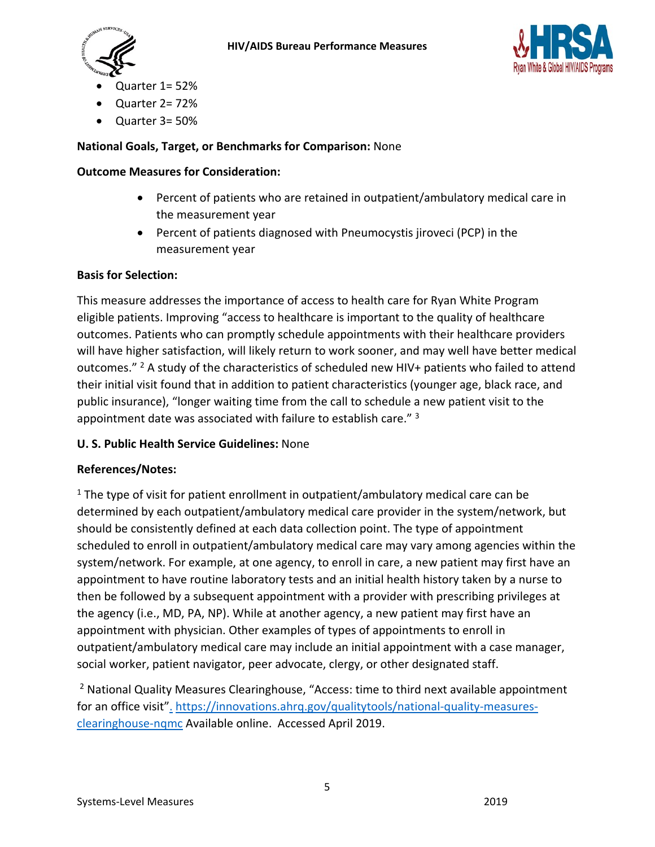



- Quarter 1= 52%
- Quarter 2= 72%
- Quarter 3= 50%

### **National Goals, Target, or Benchmarks for Comparison:** None

### **Outcome Measures for Consideration:**

- Percent of patients who are retained in outpatient/ambulatory medical care in the measurement year
- Percent of patients diagnosed with Pneumocystis jiroveci (PCP) in the measurement year

### **Basis for Selection:**

This measure addresses the importance of access to health care for Ryan White Program eligible patients. Improving "access to healthcare is important to the quality of healthcare outcomes. Patients who can promptly schedule appointments with their healthcare providers will have higher satisfaction, will likely return to work sooner, and may well have better medical outcomes." <sup>2</sup> A study of the characteristics of scheduled new HIV+ patients who failed to attend their initial visit found that in addition to patient characteristics (younger age, black race, and public insurance), "longer waiting time from the call to schedule a new patient visit to the appointment date was associated with failure to establish care." 3

### **U. S. Public Health Service Guidelines:** None

### **References/Notes:**

 $1$  The type of visit for patient enrollment in outpatient/ambulatory medical care can be determined by each outpatient/ambulatory medical care provider in the system/network, but should be consistently defined at each data collection point. The type of appointment scheduled to enroll in outpatient/ambulatory medical care may vary among agencies within the system/network. For example, at one agency, to enroll in care, a new patient may first have an appointment to have routine laboratory tests and an initial health history taken by a nurse to then be followed by a subsequent appointment with a provider with prescribing privileges at the agency (i.e., MD, PA, NP). While at another agency, a new patient may first have an appointment with physician. Other examples of types of appointments to enroll in outpatient/ambulatory medical care may include an initial appointment with a case manager, social worker, patient navigator, peer advocate, clergy, or other designated staff.

 $<sup>2</sup>$  [N](http://www.flexmls.com/cgi-bin/mainmenu.cgi?cmd=url+other/run_public_link.html&public_link_tech_id=1amtzny3ht76&s=7&id=2&san=90699&cid=1)ational Quality Measures Clearinghouse, "Access: time to third next available appointment</sup> for an office visit". [https://innovations.ahrq.gov/qualitytools/national-quality-measures](https://innovations.ahrq.gov/qualitytools/national-quality-measures-clearinghouse-nqmc)[clearinghouse-nqmc](https://innovations.ahrq.gov/qualitytools/national-quality-measures-clearinghouse-nqmc) Available online. Accessed April 2019.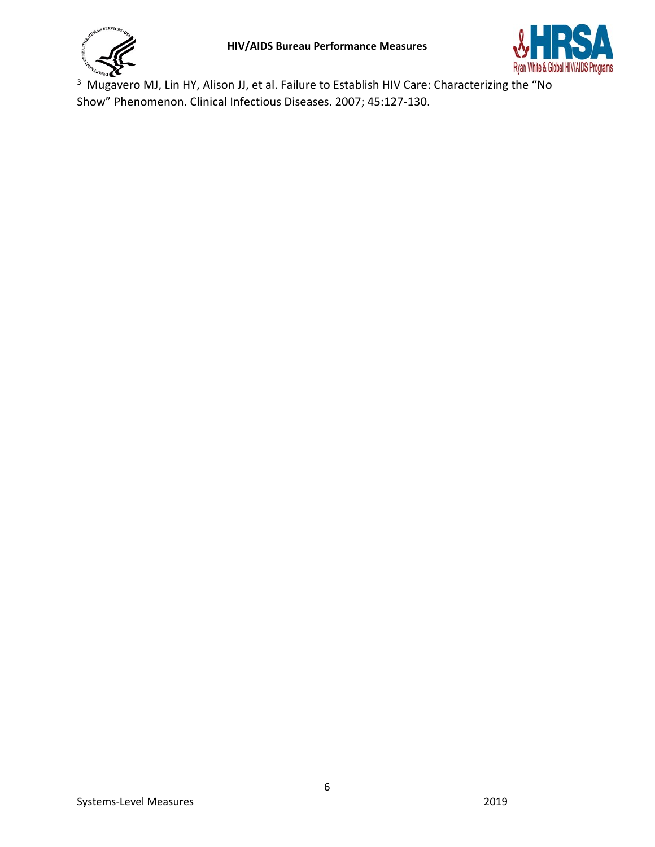

<sup>3</sup> Mugavero MJ, Lin HY, Alison JJ, et al. Failure to Establish HIV Care: Characterizing the "No Show" Phenomenon. Clinical Infectious Diseases. 2007; 45:127-130.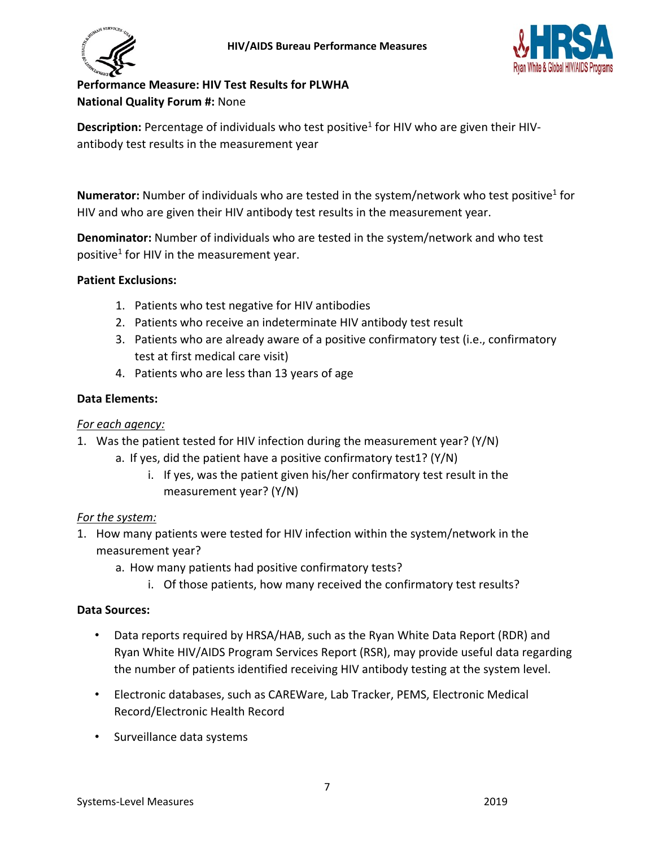



# <span id="page-6-0"></span>**Performance Measure: HIV Test Results for PLWHA National Quality Forum #:** None

Description: Percentage of individuals who test positive<sup>1</sup> for HIV who are given their HIVantibody test results in the measurement year

**Numerator:** Number of individuals who are tested in the system/network who test positive<sup>1</sup> for HIV and who are given their HIV antibody test results in the measurement year.

**Denominator:** Number of individuals who are tested in the system/network and who test positive<sup>1</sup> for HIV in the measurement year.

# **Patient Exclusions:**

- 1. Patients who test negative for HIV antibodies
- 2. Patients who receive an indeterminate HIV antibody test result
- 3. Patients who are already aware of a positive confirmatory test (i.e., confirmatory test at first medical care visit)
- 4. Patients who are less than 13 years of age

# **Data Elements:**

# *For each agency:*

- 1. Was the patient tested for HIV infection during the measurement year? (Y/N)
	- a. If yes, did the patient have a positive confirmatory test1? (Y/N)
		- i. If yes, was the patient given his/her confirmatory test result in the measurement year? (Y/N)

# *For the system:*

- 1. How many patients were tested for HIV infection within the system/network in the measurement year?
	- a. How many patients had positive confirmatory tests?
		- i. Of those patients, how many received the confirmatory test results?

# **Data Sources:**

- Data reports required by HRSA/HAB, such as the Ryan White Data Report (RDR) and Ryan White HIV/AIDS Program Services Report (RSR), may provide useful data regarding the number of patients identified receiving HIV antibody testing at the system level.
- Electronic databases, such as CAREWare, Lab Tracker, PEMS, Electronic Medical Record/Electronic Health Record
- Surveillance data systems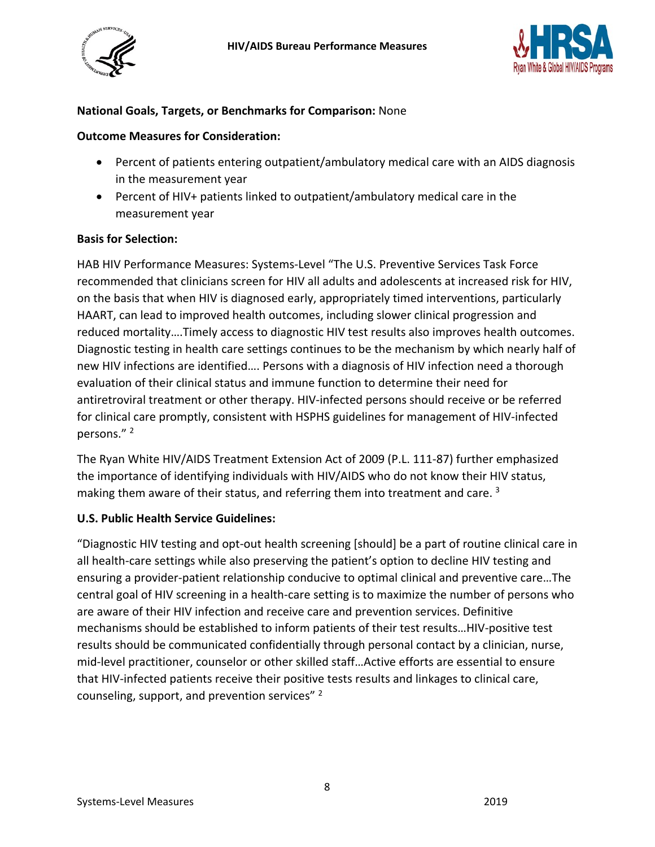



### **National Goals, Targets, or Benchmarks for Comparison:** None

#### **Outcome Measures for Consideration:**

- Percent of patients entering outpatient/ambulatory medical care with an AIDS diagnosis in the measurement year
- Percent of HIV+ patients linked to outpatient/ambulatory medical care in the measurement year

#### **Basis for Selection:**

HAB HIV Performance Measures: Systems-Level "The U.S. Preventive Services Task Force recommended that clinicians screen for HIV all adults and adolescents at increased risk for HIV, on the basis that when HIV is diagnosed early, appropriately timed interventions, particularly HAART, can lead to improved health outcomes, including slower clinical progression and reduced mortality….Timely access to diagnostic HIV test results also improves health outcomes. Diagnostic testing in health care settings continues to be the mechanism by which nearly half of new HIV infections are identified…. Persons with a diagnosis of HIV infection need a thorough evaluation of their clinical status and immune function to determine their need for antiretroviral treatment or other therapy. HIV-infected persons should receive or be referred for clinical care promptly, consistent with HSPHS guidelines for management of HIV-infected persons."<sup>2</sup>

The Ryan White HIV/AIDS Treatment Extension Act of 2009 (P.L. 111-87) further emphasized the importance of identifying individuals with HIV/AIDS who do not know their HIV status, making them aware of their status, and referring them into treatment and care.<sup>3</sup>

### **U.S. Public Health Service Guidelines:**

"Diagnostic HIV testing and opt-out health screening [should] be a part of routine clinical care in all health-care settings while also preserving the patient's option to decline HIV testing and ensuring a provider-patient relationship conducive to optimal clinical and preventive care…The central goal of HIV screening in a health-care setting is to maximize the number of persons who are aware of their HIV infection and receive care and prevention services. Definitive mechanisms should be established to inform patients of their test results…HIV-positive test results should be communicated confidentially through personal contact by a clinician, nurse, mid-level practitioner, counselor or other skilled staff…Active efforts are essential to ensure that HIV-infected patients receive their positive tests results and linkages to clinical care, counseling, support, and prevention services"<sup>2</sup>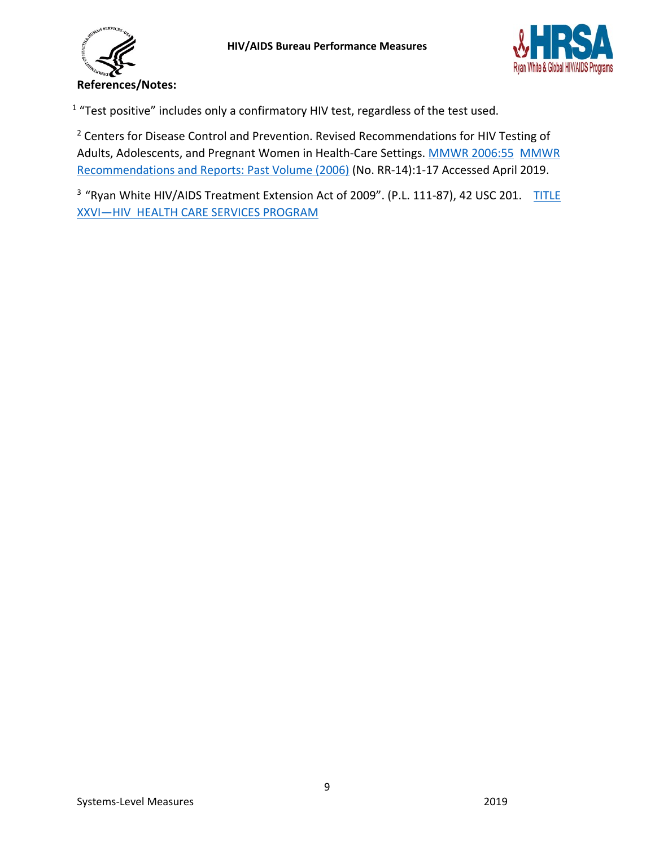



<sup>1</sup> "Test positive" includes only a confirmatory HIV test, regardless of the test used.

<sup>2</sup> Centers for Disease Control and Prevention. Revised Recommendations for HIV Testing of Adults, Adolescents, and Pregnant Women in Health-Care Settings. [MMWR 2006:55 MMWR](https://www.cdc.gov/mmwr/indrr_2006.html)  [Recommendations and Reports: Past Volume \(2006\)](https://www.cdc.gov/mmwr/indrr_2006.html) (No. RR-14):1-17 Accessed April 2019.

<sup>3</sup> "Ryan White HIV/AIDS Treatment Extension Act of 2009". (P.L. 111-87), 42 USC 201. TITLE [XXVI—HIV HEALTH CARE SERVICES PROGRAM](https://hab.hrsa.gov/sites/default/files/hab/About/RyanWhite/legislationtitlexxvi.pdf)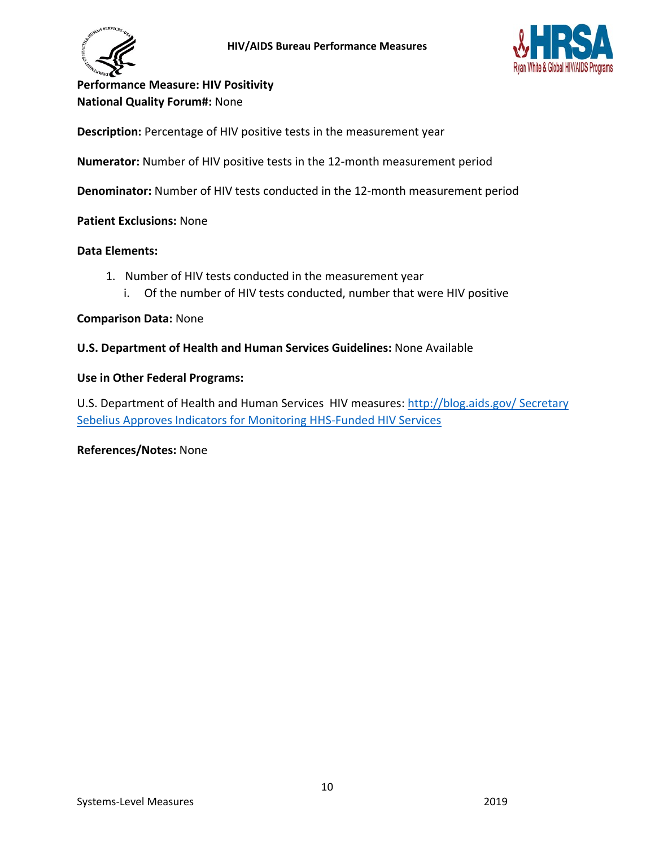



<span id="page-9-0"></span>**Performance Measure: HIV Positivity National Quality Forum#:** None

**Description:** Percentage of HIV positive tests in the measurement year

**Numerator:** Number of HIV positive tests in the 12-month measurement period

**Denominator:** Number of HIV tests conducted in the 12-month measurement period

**Patient Exclusions:** None

#### **Data Elements:**

- 1. Number of HIV tests conducted in the measurement year
	- i. Of the number of HIV tests conducted, number that were HIV positive

#### **Comparison Data:** None

#### **U.S. Department of Health and Human Services Guidelines:** None Available

#### **Use in Other Federal Programs:**

U.S. Department of Health and Human Services HIV measures: [http://blog.aids.gov/ Secretary](http://blog.aids.gov/2012/08/secretary-sebelius-approves-indicators-for-monitoring-hhs-funded-hiv-services.html) [Sebelius Approves Indicators for Monitoring HHS-Funded HIV Services](http://blog.aids.gov/2012/08/secretary-sebelius-approves-indicators-for-monitoring-hhs-funded-hiv-services.html)

**References/Notes:** None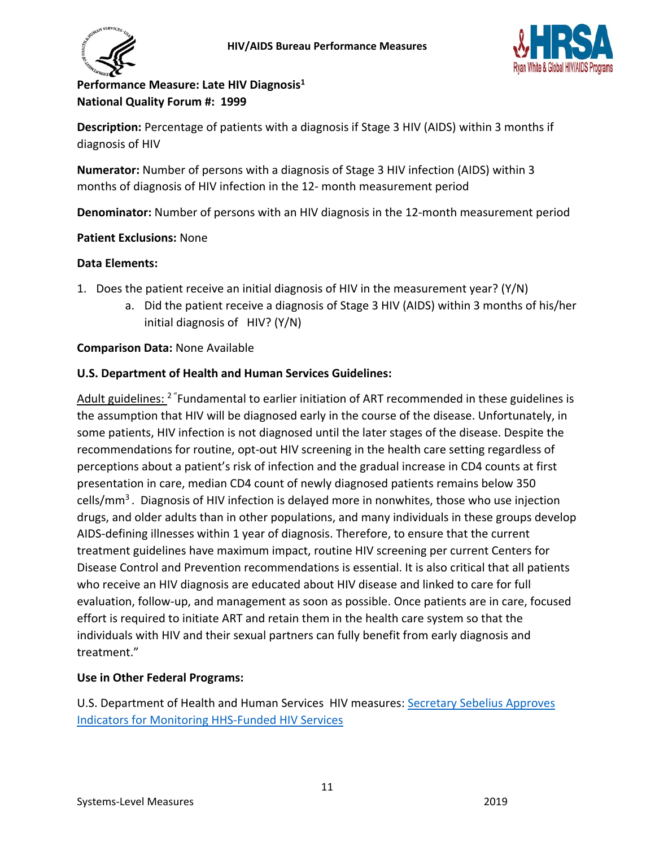



# <span id="page-10-0"></span>**Performance Measure: Late HIV Diagnosis1 National Quality Forum #: 1999**

**Description:** Percentage of patients with a diagnosis if Stage 3 HIV (AIDS) within 3 months if diagnosis of HIV

**Numerator:** Number of persons with a diagnosis of Stage 3 HIV infection (AIDS) within 3 months of diagnosis of HIV infection in the 12- month measurement period

**Denominator:** Number of persons with an HIV diagnosis in the 12-month measurement period

# **Patient Exclusions:** None

# **Data Elements:**

- 1. Does the patient receive an initial diagnosis of HIV in the measurement year? (Y/N)
	- a. Did the patient receive a diagnosis of Stage 3 HIV (AIDS) within 3 months of his/her initial diagnosis of HIV? (Y/N)

# **Comparison Data:** None Available

# **U.S. Department of Health and Human Services Guidelines:**

Adult guidelines: <sup>2</sup> "Fundamental to earlier initiation of ART recommended in these guidelines is the assumption that HIV will be diagnosed early in the course of the disease. Unfortunately, in some patients, HIV infection is not diagnosed until the later stages of the disease. Despite the recommendations for routine, opt-out HIV screening in the health care setting regardless of perceptions about a patient's risk of infection and the gradual increase in CD4 counts at first presentation in care, median CD4 count of newly diagnosed patients remains below 350 cells/mm<sup>3</sup>. Diagnosis of HIV infection is delayed more in nonwhites, those who use injection drugs, and older adults than in other populations, and many individuals in these groups develop AIDS-defining illnesses within 1 year of diagnosis. Therefore, to ensure that the current treatment guidelines have maximum impact, routine HIV screening per current Centers for Disease Control and Prevention recommendations is essential. It is also critical that all patients who receive an HIV diagnosis are educated about HIV disease and linked to care for full evaluation, follow-up, and management as soon as possible. Once patients are in care, focused effort is required to initiate ART and retain them in the health care system so that the individuals with HIV and their sexual partners can fully benefit from early diagnosis and treatment."

# **Use in Other Federal Programs:**

U.S. Department of Health and Human Services HIV measures: [Secretary Sebelius Approves](http://blog.aids.gov/2012/08/secretary-sebelius-approves-indicators-for-monitoring-hhs-funded-hiv-services.html)  [Indicators for Monitoring HHS-Funded HIV Services](http://blog.aids.gov/2012/08/secretary-sebelius-approves-indicators-for-monitoring-hhs-funded-hiv-services.html)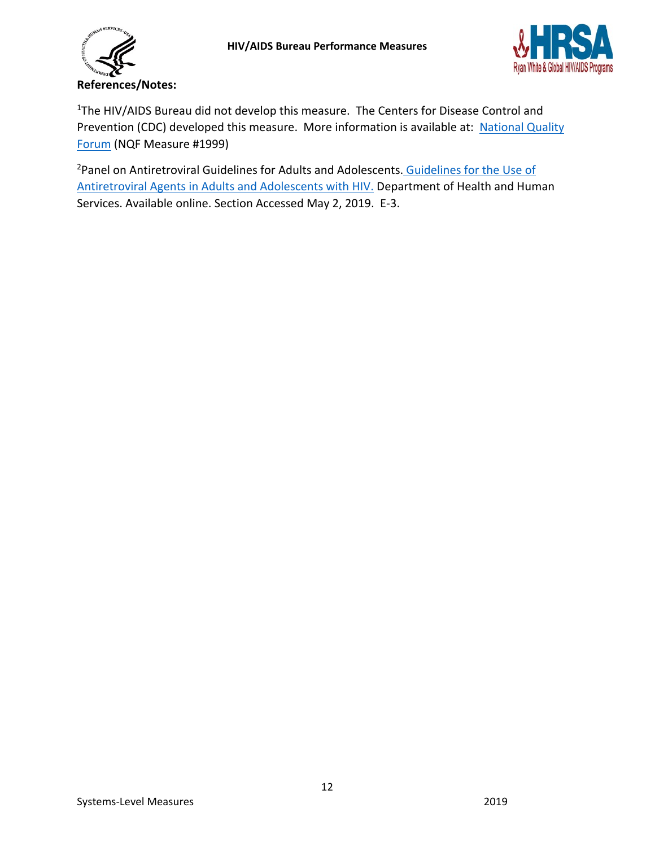



<sup>1</sup>The HIV/AIDS Bureau did not develop this measure. The Centers for Disease Control and Prevention (CDC) developed this measure. More information is available at: National Quality [Forum](http://www.qualityforum.org/QPS/QPSTool.aspx) (NQF Measure #1999)

<sup>2</sup>Panel on Antiretroviral Guidelines for Adults and Adolescents[. Guidelines for the Use of](http://aidsinfo.nih.gov/ContentFiles/AdultandAdolescentGL.pdf) [Antiretroviral Agents in Adults and Adolescents](http://aidsinfo.nih.gov/ContentFiles/AdultandAdolescentGL.pdf) with HI[V.](http://aidsinfo.nih.gov/ContentFiles/AdultandAdolescentGL.pdf) Department of Health and Human Services. Available online. Section Accessed May 2, 2019. E-3.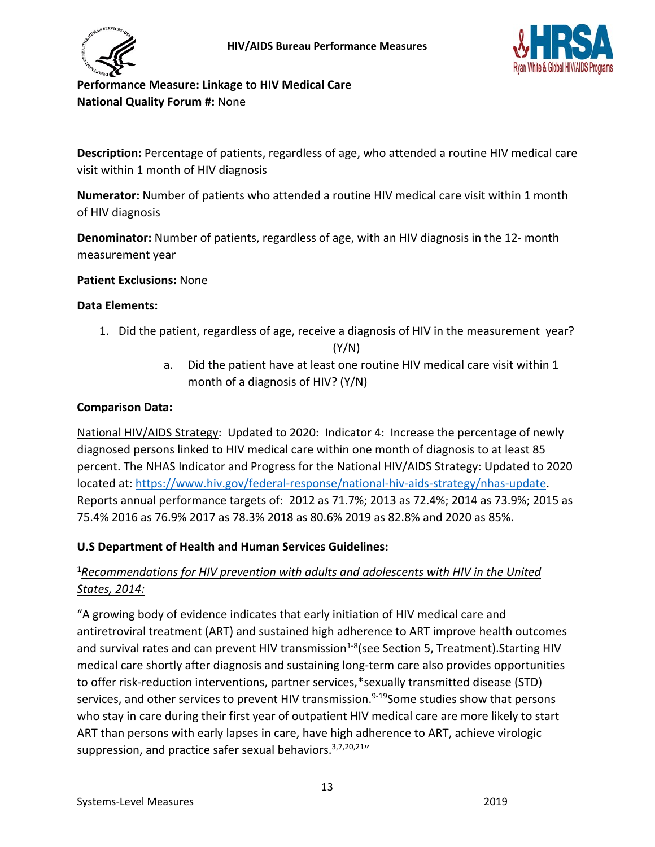



<span id="page-12-0"></span>**Performance Measure: Linkage to HIV Medical Care National Quality Forum #:** None

**Description:** Percentage of patients, regardless of age, who attended a routine HIV medical care visit within 1 month of HIV diagnosis

**Numerator:** Number of patients who attended a routine HIV medical care visit within 1 month of HIV diagnosis

**Denominator:** Number of patients, regardless of age, with an HIV diagnosis in the 12- month measurement year

**Patient Exclusions:** None

### **Data Elements:**

- 1. Did the patient, regardless of age, receive a diagnosis of HIV in the measurement year? (Y/N)
	- a. Did the patient have at least one routine HIV medical care visit within 1 month of a diagnosis of HIV? (Y/N)

### **Comparison Data:**

National HIV/AIDS Strategy: Updated to 2020: Indicator 4: Increase the percentage of newly diagnosed persons linked to HIV medical care within one month of diagnosis to at least 85 percent. The NHAS Indicator and Progress for the National HIV/AIDS Strategy: Updated to 2020 located at: [https://www.hiv.gov/federal-response/national-hiv-aids-strategy/nhas-update.](https://www.hiv.gov/federal-response/national-hiv-aids-strategy/nhas-update) Reports annual performance targets of: 2012 as 71.7%; 2013 as 72.4%; 2014 as 73.9%; 2015 as 75.4% 2016 as 76.9% 2017 as 78.3% 2018 as 80.6% 2019 as 82.8% and 2020 as 85%.

# **U.S Department of Health and Human Services Guidelines:**

# <sup>1</sup>*Recommendations for HIV prevention with adults and adolescents with HIV in the United States, 2014:*

"A growing body of evidence indicates that early initiation of HIV medical care and antiretroviral treatment (ART) and sustained high adherence to ART improve health outcomes and survival rates and can prevent HIV transmission<sup>1-8</sup>(see Section 5, Treatment).Starting HIV medical care shortly after diagnosis and sustaining long-term care also provides opportunities to offer risk-reduction interventions, partner services,\*sexually transmitted disease (STD) services, and other services to prevent HIV transmission.<sup>9-19</sup>Some studies show that persons who stay in care during their first year of outpatient HIV medical care are more likely to start ART than persons with early lapses in care, have high adherence to ART, achieve virologic suppression, and practice safer sexual behaviors.  $3,7,20,21$ "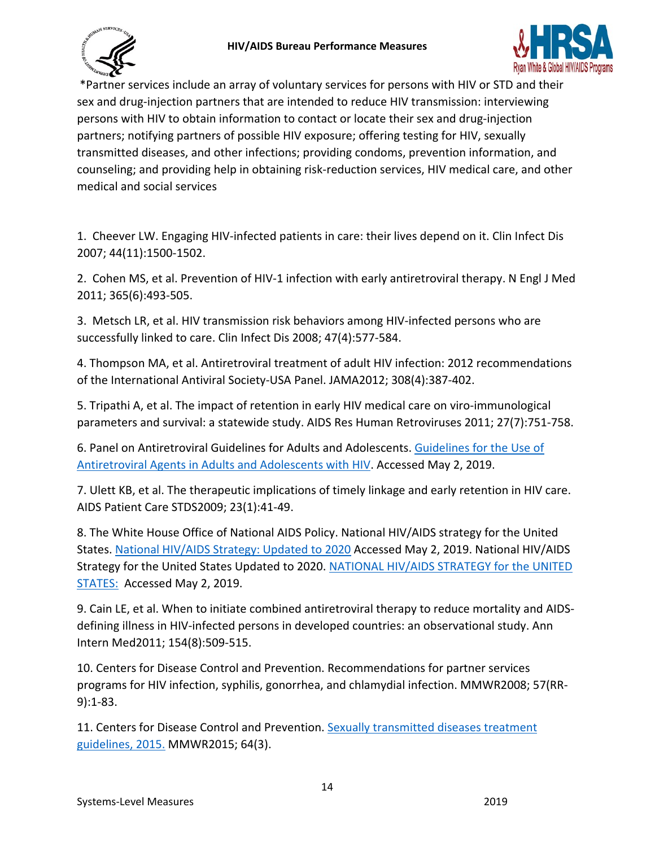



\*Partner services include an array of voluntary services for persons with HIV or STD and their sex and drug-injection partners that are intended to reduce HIV transmission: interviewing persons with HIV to obtain information to contact or locate their sex and drug-injection partners; notifying partners of possible HIV exposure; offering testing for HIV, sexually transmitted diseases, and other infections; providing condoms, prevention information, and counseling; and providing help in obtaining risk-reduction services, HIV medical care, and other medical and social services

1. Cheever LW. Engaging HIV-infected patients in care: their lives depend on it. Clin Infect Dis 2007; 44(11):1500-1502.

2. Cohen MS, et al. Prevention of HIV-1 infection with early antiretroviral therapy. N Engl J Med 2011; 365(6):493-505.

3. Metsch LR, et al. HIV transmission risk behaviors among HIV-infected persons who are successfully linked to care. Clin Infect Dis 2008; 47(4):577-584.

4. Thompson MA, et al. Antiretroviral treatment of adult HIV infection: 2012 recommendations of the International Antiviral Society-USA Panel. JAMA2012; 308(4):387-402.

5. Tripathi A, et al. The impact of retention in early HIV medical care on viro-immunological parameters and survival: a statewide study. AIDS Res Human Retroviruses 2011; 27(7):751-758.

6. Panel on Antiretroviral Guidelines for Adults and Adolescents[. Guidelines for the Use of](https://aidsinfo.nih.gov/guidelines/html/1/adult-and-adolescent-arv-guidelines/10/initiation-of-antiretroviral-therapy) [Antiretroviral Agents in Adults and Adolescents](https://aidsinfo.nih.gov/guidelines/html/1/adult-and-adolescent-arv-guidelines/10/initiation-of-antiretroviral-therapy) with HIV. Accessed May 2, 2019.

7. Ulett KB, et al. The therapeutic implications of timely linkage and early retention in HIV care. AIDS Patient Care STDS2009; 23(1):41-49.

8. The White House Office of National AIDS Policy. National HIV/AIDS strategy for the United States[. National HIV/AIDS Strategy: Updated to 2020](https://www.hiv.gov/federal-response/national-hiv-aids-strategy/nhas-update) Accessed May 2, 2019. National HIV/AIDS Strategy for the United States Updated to 2020. [NATIONAL HIV/AIDS STRATEGY for the UNITED](https://files.hiv.gov/s3fs-public/nhas-update.pdf)  [STATES:](https://files.hiv.gov/s3fs-public/nhas-update.pdf) Accessed May 2, 2019.

9. Cain LE, et al. When to initiate combined antiretroviral therapy to reduce mortality and AIDSdefining illness in HIV-infected persons in developed countries: an observational study. Ann Intern Med2011; 154(8):509-515.

10. Centers for Disease Control and Prevention. Recommendations for partner services programs for HIV infection, syphilis, gonorrhea, and chlamydial infection. MMWR2008; 57(RR-9):1-83.

11. Centers for Disease Control and Prevention. [Sexually transmitted diseases treatment](https://www.cdc.gov/std/tg2015/tg-2015-print.pdf) [guidelines, 2015.](https://www.cdc.gov/std/tg2015/tg-2015-print.pdf) MMWR2015; 64(3).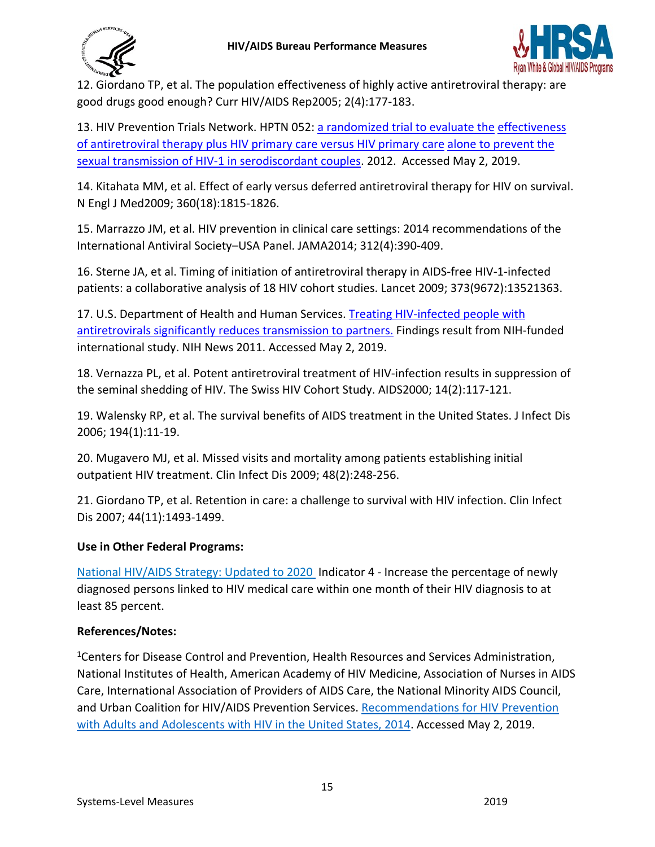



12. Giordano TP, et al. The population effectiveness of highly active antiretroviral therapy: are good drugs good enough? Curr HIV/AIDS Rep2005; 2(4):177-183.

13. HIV Prevention Trials Network. HPTN 052: [a randomized trial to evaluate the](https://hptn.org/research/studies/hptn052) [effectiveness](https://hptn.org/research/studies/hptn052)  [of antiretroviral therapy plus HIV primary care versus HIV primary care](https://hptn.org/research/studies/hptn052) [alone to prevent the](https://hptn.org/research/studies/hptn052)  [sexual transmission of HIV-1 in serodiscordant couples.](https://hptn.org/research/studies/hptn052) 2012. Accessed May 2, 2019.

14. Kitahata MM, et al. Effect of early versus deferred antiretroviral therapy for HIV on survival. N Engl J Med2009; 360(18):1815-1826.

15. Marrazzo JM, et al. HIV prevention in clinical care settings: 2014 recommendations of the International Antiviral Society–USA Panel. JAMA2014; 312(4):390-409.

16. Sterne JA, et al. Timing of initiation of antiretroviral therapy in AIDS-free HIV-1-infected patients: a collaborative analysis of 18 HIV cohort studies. Lancet 2009; 373(9672):13521363.

17. U.S. Department of Health and Human Services. [Treating HIV-infected people with](https://www.nih.gov/news-events/news-releases/treating-hiv-infected-people-antiretrovirals-significantly-reduces-transmission-partners) [antiretrovirals significantly reduces transmission to partners.](https://www.nih.gov/news-events/news-releases/treating-hiv-infected-people-antiretrovirals-significantly-reduces-transmission-partners) [F](https://www.nih.gov/news-events/news-releases/treating-hiv-infected-people-antiretrovirals-significantly-reduces-transmission-partners)indings result from NIH-funded international study. NIH News 2011. Accessed May 2, 2019.

18. Vernazza PL, et al. Potent antiretroviral treatment of HIV-infection results in suppression of the seminal shedding of HIV. The Swiss HIV Cohort Study. AIDS2000; 14(2):117-121.

19. Walensky RP, et al. The survival benefits of AIDS treatment in the United States. J Infect Dis 2006; 194(1):11-19.

20. Mugavero MJ, et al. Missed visits and mortality among patients establishing initial outpatient HIV treatment. Clin Infect Dis 2009; 48(2):248-256.

21. Giordano TP, et al. Retention in care: a challenge to survival with HIV infection. Clin Infect Dis 2007; 44(11):1493-1499.

# **Use in Other Federal Programs:**

[National HIV/AIDS Strategy: Updated to 2020](https://www.aids.gov/federal-resources/national-hiv-aids-strategy/overview/index.html) Indicator 4 - Increase the percentage of newly diagnosed persons linked to HIV medical care within one month of their HIV diagnosis to at least 85 percent.

# **References/Notes:**

<sup>1</sup>Centers for Disease Control and Prevention, Health Resources and Services Administration, National Institutes of Health, American Academy of HIV Medicine, Association of Nurses in AIDS Care, International Association of Providers of AIDS Care, the National Minority AIDS Council, and Urban Coalition for HIV/AIDS Prevention Services. [Recommendations for HIV Prevention](https://stacks.cdc.gov/view/cdc/44064) [with Adults and Adolescents with HIV in the United States, 2014.](https://stacks.cdc.gov/view/cdc/44064) Accessed May 2, 2019.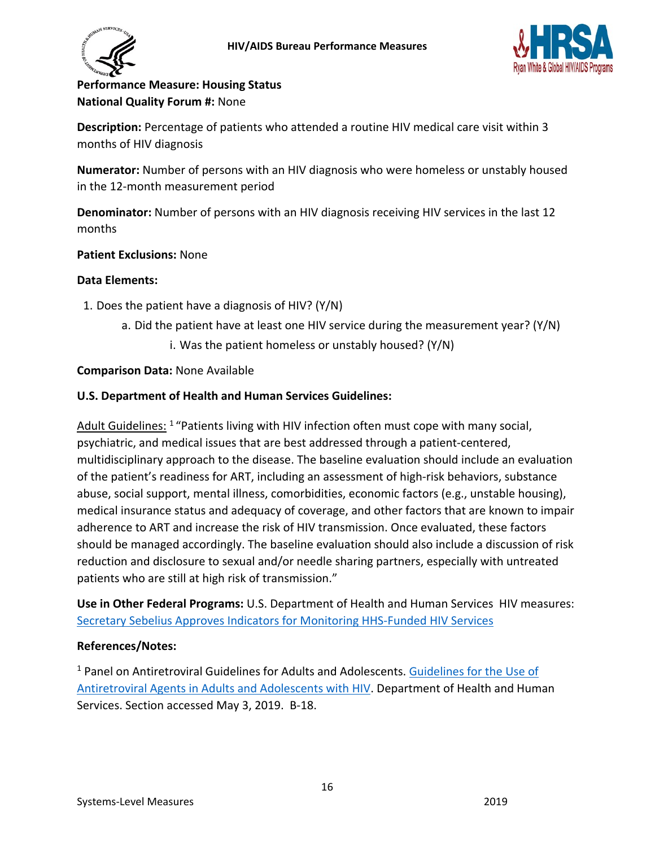



# <span id="page-15-0"></span>**Performance Measure: Housing Status National Quality Forum #:** None

**Description:** Percentage of patients who attended a routine HIV medical care visit within 3 months of HIV diagnosis

**Numerator:** Number of persons with an HIV diagnosis who were homeless or unstably housed in the 12-month measurement period

**Denominator:** Number of persons with an HIV diagnosis receiving HIV services in the last 12 months

### **Patient Exclusions:** None

### **Data Elements:**

- 1. Does the patient have a diagnosis of HIV? (Y/N)
	- a. Did the patient have at least one HIV service during the measurement year? (Y/N)
		- i. Was the patient homeless or unstably housed? (Y/N)

### **Comparison Data:** None Available

### **U.S. Department of Health and Human Services Guidelines:**

Adult Guidelines: 1 "Patients living with HIV infection often must cope with many social, psychiatric, and medical issues that are best addressed through a patient-centered, multidisciplinary approach to the disease. The baseline evaluation should include an evaluation of the patient's readiness for ART, including an assessment of high-risk behaviors, substance abuse, social support, mental illness, comorbidities, economic factors (e.g., unstable housing), medical insurance status and adequacy of coverage, and other factors that are known to impair adherence to ART and increase the risk of HIV transmission. Once evaluated, these factors should be managed accordingly. The baseline evaluation should also include a discussion of risk reduction and disclosure to sexual and/or needle sharing partners, especially with untreated patients who are still at high risk of transmission."

**Use in Other Federal Programs:** U.S. Department of Health and Human Services HIV measures: [Secretary Sebelius Approves Indicators for Monitoring HHS-Funded HIV Services](http://blog.aids.gov/2012/08/secretary-sebelius-approves-indicators-for-monitoring-hhs-funded-hiv-services.html)

### **References/Notes:**

<sup>1</sup> Panel on Antiretroviral Guidelines for Adults and Adolescents. [Guidelines for the Use of](https://aidsinfo.nih.gov/contentfiles/lvguidelines/adultandadolescentgl.pdf)  [Antiretroviral Agents in Adults and Adolescents with HIV.](https://aidsinfo.nih.gov/contentfiles/lvguidelines/adultandadolescentgl.pdf) [D](http://aidsinfo.nih.gov/ContentFiles/AdultandAdolescentGL.pdf)epartment of Health and Human Services. Section accessed May 3, 2019. B-18.